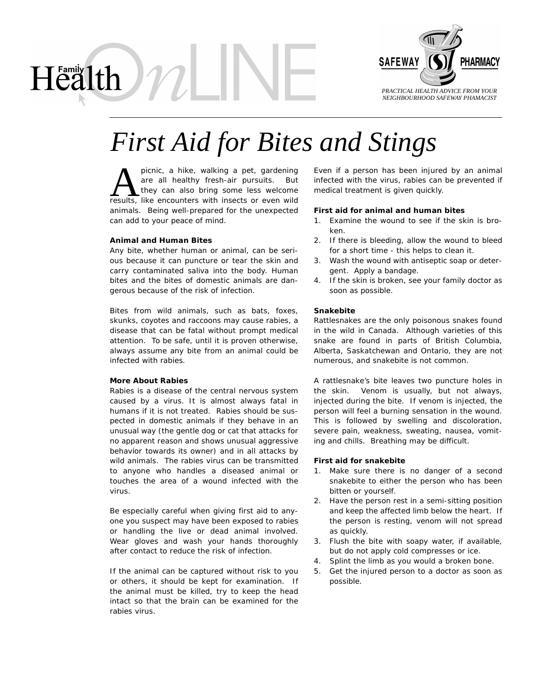

# *First Aid for Bites and Stings*

picnic, a hike, walking a pet, gardening are all healthy fresh-air pursuits. But they can also bring some less welcome picnic, a hike, walking a pet, gardening<br>are all healthy fresh-air pursuits. But<br>they can also bring some less welcome<br>results, like encounters with insects or even wild animals. Being well-prepared for the unexpected can add to your peace of mind.

#### **Animal and Human Bites**

Health )

Any bite, whether human or animal, can be serious because it can puncture or tear the skin and carry contaminated saliva into the body. Human bites and the bites of domestic animals are dangerous because of the risk of infection.

Bites from wild animals, such as bats, foxes, skunks, coyotes and raccoons may cause rabies, a disease that can be fatal without prompt medical attention. To be safe, until it is proven otherwise, always assume any bite from an animal could be infected with rabies.

#### **More About Rabies**

Rabies is a disease of the central nervous system caused by a virus. It is almost always fatal in humans if it is not treated. Rabies should be suspected in domestic animals if they behave in an unusual way (the gentle dog or cat that attacks for no apparent reason and shows unusual aggressive behavior towards its owner) and in all attacks by wild animals. The rabies virus can be transmitted to anyone who handles a diseased animal or touches the area of a wound infected with the virus.

Be especially careful when giving first aid to anyone you suspect may have been exposed to rabies or handling the live or dead animal involved. Wear gloves and wash your hands thoroughly after contact to reduce the risk of infection.

If the animal can be captured without risk to you or others, it should be kept for examination. If the animal must be killed, try to keep the head intact so that the brain can be examined for the rabies virus.

Even if a person has been injured by an animal infected with the virus, rabies can be prevented if medical treatment is given quickly.

#### **First aid for animal and human bites**

- 1. Examine the wound to see if the skin is broken.
- 2. If there is bleeding, allow the wound to bleed for a short time - this helps to clean it.
- 3. Wash the wound with antiseptic soap or detergent. Apply a bandage.
- 4. If the skin is broken, see your family doctor as soon as possible.

#### **Snakebite**

Rattlesnakes are the only poisonous snakes found in the wild in Canada. Although varieties of this snake are found in parts of British Columbia, Alberta, Saskatchewan and Ontario, they are not numerous, and snakebite is not common.

A rattlesnake's bite leaves two puncture holes in the skin. Venom is usually, but not always, injected during the bite. If venom is injected, the person will feel a burning sensation in the wound. This is followed by swelling and discoloration, severe pain, weakness, sweating, nausea, vomiting and chills. Breathing may be difficult.

#### **First aid for snakebite**

- 1. Make sure there is no danger of a second snakebite to either the person who has been bitten or yourself.
- 2. Have the person rest in a semi-sitting position and keep the affected limb below the heart. If the person is resting, venom will not spread as quickly.
- 3. Flush the bite with soapy water, if available, but do not apply cold compresses or ice.
- 4. Splint the limb as you would a broken bone.
- 5. Get the injured person to a doctor as soon as possible.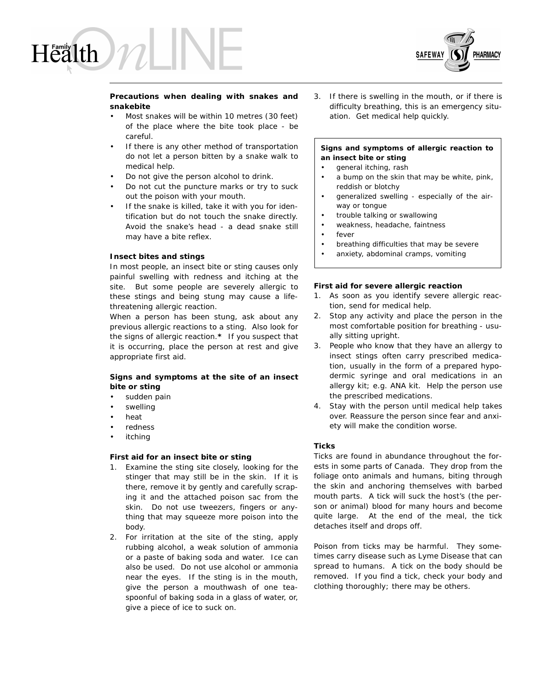



### **Precautions when dealing with snakes and snakebite**

- Most snakes will be within 10 metres (30 feet) of the place where the bite took place - be careful.
- If there is any other method of transportation do not let a person bitten by a snake walk to medical help.
- Do not give the person alcohol to drink.
- Do not cut the puncture marks or try to suck out the poison with your mouth.
- If the snake is killed, take it with you for identification but do not touch the snake directly. Avoid the snake's head - a dead snake still may have a bite reflex.

#### **Insect bites and stings**

In most people, an insect bite or sting causes only painful swelling with redness and itching at the site. But some people are severely allergic to these stings and being stung may cause a lifethreatening allergic reaction.

When a person has been stung, ask about any previous allergic reactions to a sting. Also look for the signs of allergic reaction.**\*** If you suspect that it is occurring, place the person at rest and give appropriate first aid.

# **Signs and symptoms at the site of an insect bite or sting**

- sudden pain
- **swelling**
- heat
- redness
- **itching**

### **First aid for an insect bite or sting**

- 1. Examine the sting site closely, looking for the stinger that may still be in the skin. If it is there, remove it by gently and carefully scraping it and the attached poison sac from the skin. Do not use tweezers, fingers or anything that may squeeze more poison into the body.
- 2. For irritation at the site of the sting, apply rubbing alcohol, a weak solution of ammonia or a paste of baking soda and water. Ice can also be used. Do not use alcohol or ammonia near the eyes. If the sting is in the mouth, give the person a mouthwash of one teaspoonful of baking soda in a glass of water, or, give a piece of ice to suck on.

3. If there is swelling in the mouth, or if there is difficulty breathing, this is an emergency situation. Get medical help quickly.

# **Signs and symptoms of allergic reaction to an insect bite or sting**

- general itching, rash
- a bump on the skin that may be white, pink, reddish or blotchy
- generalized swelling especially of the airway or tongue
- trouble talking or swallowing
- weakness, headache, faintness
- fever
- breathing difficulties that may be severe
- anxiety, abdominal cramps, vomiting

#### **First aid for severe allergic reaction**

- 1. As soon as you identify severe allergic reaction, send for medical help.
- 2. Stop any activity and place the person in the most comfortable position for breathing - usually sitting upright.
- 3. People who know that they have an allergy to insect stings often carry prescribed medication, usually in the form of a prepared hypodermic syringe and oral medications in an allergy kit; e.g. ANA kit. Help the person use the prescribed medications.
- 4. Stay with the person until medical help takes over. Reassure the person since fear and anxiety will make the condition worse.

#### **Ticks**

Ticks are found in abundance throughout the forests in some parts of Canada. They drop from the foliage onto animals and humans, biting through the skin and anchoring themselves with barbed mouth parts. A tick will suck the host's (the person or animal) blood for many hours and become quite large. At the end of the meal, the tick detaches itself and drops off.

Poison from ticks may be harmful. They sometimes carry disease such as Lyme Disease that can spread to humans. A tick on the body should be removed. If you find a tick, check your body and clothing thoroughly; there may be others.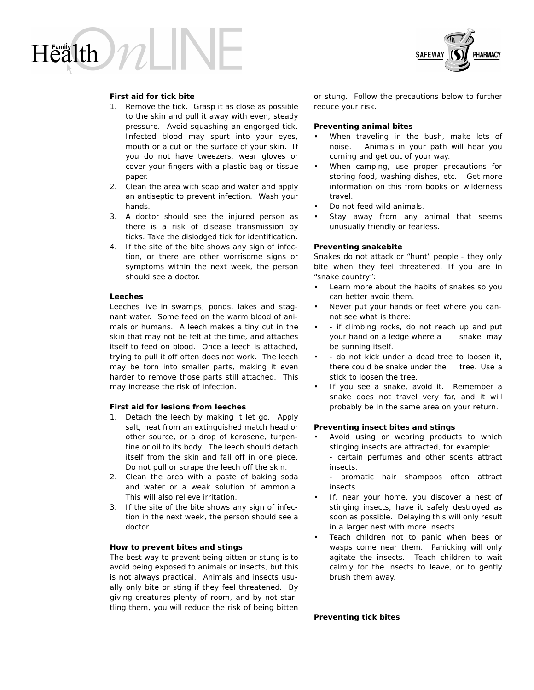# Health



# **First aid for tick bite**

- 1. Remove the tick. Grasp it as close as possible to the skin and pull it away with even, steady pressure. Avoid squashing an engorged tick. Infected blood may spurt into your eyes, mouth or a cut on the surface of your skin. If you do not have tweezers, wear gloves or cover your fingers with a plastic bag or tissue paper.
- 2. Clean the area with soap and water and apply an antiseptic to prevent infection. Wash your hands.
- 3. A doctor should see the injured person as there is a risk of disease transmission by ticks. Take the dislodged tick for identification.
- 4. If the site of the bite shows any sign of infection, or there are other worrisome signs or symptoms within the next week, the person should see a doctor.

#### **Leeches**

Leeches live in swamps, ponds, lakes and stagnant water. Some feed on the warm blood of animals or humans. A leech makes a tiny cut in the skin that may not be felt at the time, and attaches itself to feed on blood. Once a leech is attached, trying to pull it off often does not work. The leech may be torn into smaller parts, making it even harder to remove those parts still attached. This may increase the risk of infection.

#### **First aid for lesions from leeches**

- 1. Detach the leech by making it let go. Apply salt, heat from an extinguished match head or other source, or a drop of kerosene, turpentine or oil to its body. The leech should detach itself from the skin and fall off in one piece. Do not pull or scrape the leech off the skin.
- 2. Clean the area with a paste of baking soda and water or a weak solution of ammonia. This will also relieve irritation.
- 3. If the site of the bite shows any sign of infection in the next week, the person should see a doctor.

#### **How to prevent bites and stings**

The best way to prevent being bitten or stung is to avoid being exposed to animals or insects, but this is not always practical. Animals and insects usually only bite or sting if they feel threatened. By giving creatures plenty of room, and by not startling them, you will reduce the risk of being bitten or stung. Follow the precautions below to further reduce your risk.

#### **Preventing animal bites**

- When traveling in the bush, make lots of noise. Animals in your path will hear you coming and get out of your way.
- When camping, use proper precautions for storing food, washing dishes, etc. Get more information on this from books on wilderness travel.
- Do not feed wild animals.
- Stay away from any animal that seems unusually friendly or fearless.

# **Preventing snakebite**

Snakes do not attack or "hunt" people - they only bite when they feel threatened. If you are in "snake country":

- Learn more about the habits of snakes so you can better avoid them.
- Never put your hands or feet where you cannot see what is there:
- - if climbing rocks, do not reach up and put your hand on a ledge where a snake may be sunning itself.
- - do not kick under a dead tree to loosen it, there could be snake under the tree. Use a stick to loosen the tree.
- If you see a snake, avoid it. Remember a snake does not travel very far, and it will probably be in the same area on your return.

#### **Preventing insect bites and stings**

• Avoid using or wearing products to which stinging insects are attracted, for example: - certain perfumes and other scents attract insects.

- aromatic hair shampoos often attract insects.

- If, near your home, you discover a nest of stinging insects, have it safely destroyed as soon as possible. Delaying this will only result in a larger nest with more insects.
- Teach children not to panic when bees or wasps come near them. Panicking will only agitate the insects. Teach children to wait calmly for the insects to leave, or to gently brush them away.

**Preventing tick bites**